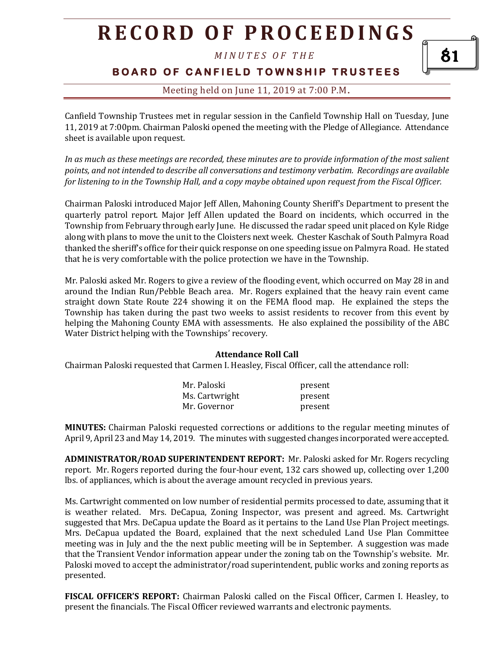*M I N U T E S O F T H E* 

**BOARD OF CANFIELD TOWNSHIP TRUSTEES** 

### Meeting held on June 11, 2019 at 7:00 P.M**.**

Canfield Township Trustees met in regular session in the Canfield Township Hall on Tuesday, June 11, 2019 at 7:00pm. Chairman Paloski opened the meeting with the Pledge of Allegiance. Attendance sheet is available upon request.

*In as much as these meetings are recorded, these minutes are to provide information of the most salient points, and not intended to describe all conversations and testimony verbatim. Recordings are available for listening to in the Township Hall, and a copy maybe obtained upon request from the Fiscal Officer.* 

Chairman Paloski introduced Major Jeff Allen, Mahoning County Sheriff's Department to present the quarterly patrol report. Major Jeff Allen updated the Board on incidents, which occurred in the Township from February through early June. He discussed the radar speed unit placed on Kyle Ridge along with plans to move the unit to the Cloisters next week. Chester Kaschak of South Palmyra Road thanked the sheriff's office for their quick response on one speeding issue on Palmyra Road. He stated that he is very comfortable with the police protection we have in the Township.

Mr. Paloski asked Mr. Rogers to give a review of the flooding event, which occurred on May 28 in and around the Indian Run/Pebble Beach area. Mr. Rogers explained that the heavy rain event came straight down State Route 224 showing it on the FEMA flood map. He explained the steps the Township has taken during the past two weeks to assist residents to recover from this event by helping the Mahoning County EMA with assessments. He also explained the possibility of the ABC Water District helping with the Townships' recovery.

#### **Attendance Roll Call**

Chairman Paloski requested that Carmen I. Heasley, Fiscal Officer, call the attendance roll:

| Mr. Paloski    | present |
|----------------|---------|
| Ms. Cartwright | present |
| Mr. Governor   | present |

**MINUTES:** Chairman Paloski requested corrections or additions to the regular meeting minutes of April 9, April 23 and May 14, 2019. The minutes with suggested changes incorporated were accepted.

**ADMINISTRATOR/ROAD SUPERINTENDENT REPORT:** Mr. Paloski asked for Mr. Rogers recycling report. Mr. Rogers reported during the four-hour event, 132 cars showed up, collecting over 1,200 lbs. of appliances, which is about the average amount recycled in previous years.

Ms. Cartwright commented on low number of residential permits processed to date, assuming that it is weather related. Mrs. DeCapua, Zoning Inspector, was present and agreed. Ms. Cartwright suggested that Mrs. DeCapua update the Board as it pertains to the Land Use Plan Project meetings. Mrs. DeCapua updated the Board, explained that the next scheduled Land Use Plan Committee meeting was in July and the the next public meeting will be in September. A suggestion was made that the Transient Vendor information appear under the zoning tab on the Township's website. Mr. Paloski moved to accept the administrator/road superintendent, public works and zoning reports as presented.

**FISCAL OFFICER'S REPORT:** Chairman Paloski called on the Fiscal Officer, Carmen I. Heasley, to present the financials. The Fiscal Officer reviewed warrants and electronic payments.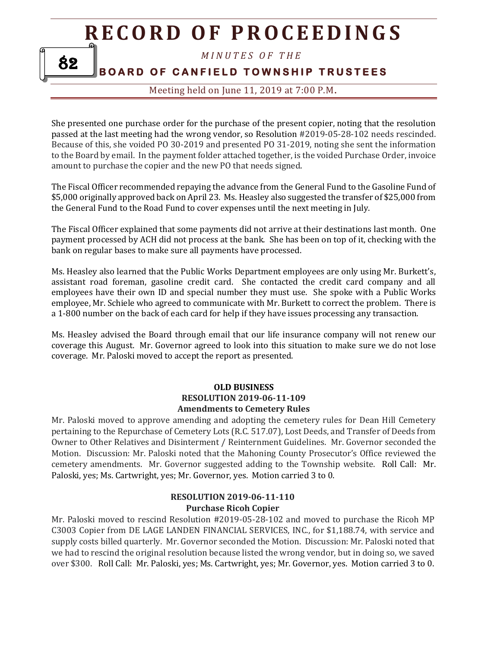*M I N U T E S O F T H E* 

**BOARD OF CANFIELD TOWNSHIP TRUSTEES** 

82

Meeting held on June 11, 2019 at 7:00 P.M**.**

She presented one purchase order for the purchase of the present copier, noting that the resolution passed at the last meeting had the wrong vendor, so Resolution #2019-05-28-102 needs rescinded. Because of this, she voided PO 30-2019 and presented PO 31-2019, noting she sent the information to the Board by email. In the payment folder attached together, is the voided Purchase Order, invoice amount to purchase the copier and the new PO that needs signed.

The Fiscal Officer recommended repaying the advance from the General Fund to the Gasoline Fund of \$5,000 originally approved back on April 23. Ms. Heasley also suggested the transfer of \$25,000 from the General Fund to the Road Fund to cover expenses until the next meeting in July.

The Fiscal Officer explained that some payments did not arrive at their destinations last month. One payment processed by ACH did not process at the bank. She has been on top of it, checking with the bank on regular bases to make sure all payments have processed.

Ms. Heasley also learned that the Public Works Department employees are only using Mr. Burkett's, assistant road foreman, gasoline credit card. She contacted the credit card company and all employees have their own ID and special number they must use. She spoke with a Public Works employee, Mr. Schiele who agreed to communicate with Mr. Burkett to correct the problem. There is a 1-800 number on the back of each card for help if they have issues processing any transaction.

Ms. Heasley advised the Board through email that our life insurance company will not renew our coverage this August. Mr. Governor agreed to look into this situation to make sure we do not lose coverage. Mr. Paloski moved to accept the report as presented.

#### **OLD BUSINESS RESOLUTION 2019-06-11-109 Amendments to Cemetery Rules**

Mr. Paloski moved to approve amending and adopting the cemetery rules for Dean Hill Cemetery pertaining to the Repurchase of Cemetery Lots (R.C. 517.07), Lost Deeds, and Transfer of Deeds from Owner to Other Relatives and Disinterment / Reinternment Guidelines. Mr. Governor seconded the Motion. Discussion: Mr. Paloski noted that the Mahoning County Prosecutor's Office reviewed the cemetery amendments. Mr. Governor suggested adding to the Township website. Roll Call: Mr. Paloski, yes; Ms. Cartwright, yes; Mr. Governor, yes. Motion carried 3 to 0.

### **RESOLUTION 2019-06-11-110 Purchase Ricoh Copier**

Mr. Paloski moved to rescind Resolution #2019-05-28-102 and moved to purchase the Ricoh MP C3003 Copier from DE LAGE LANDEN FINANCIAL SERVICES, INC., for \$1,188.74, with service and supply costs billed quarterly. Mr. Governor seconded the Motion. Discussion: Mr. Paloski noted that we had to rescind the original resolution because listed the wrong vendor, but in doing so, we saved over \$300. Roll Call: Mr. Paloski, yes; Ms. Cartwright, yes; Mr. Governor, yes. Motion carried 3 to 0.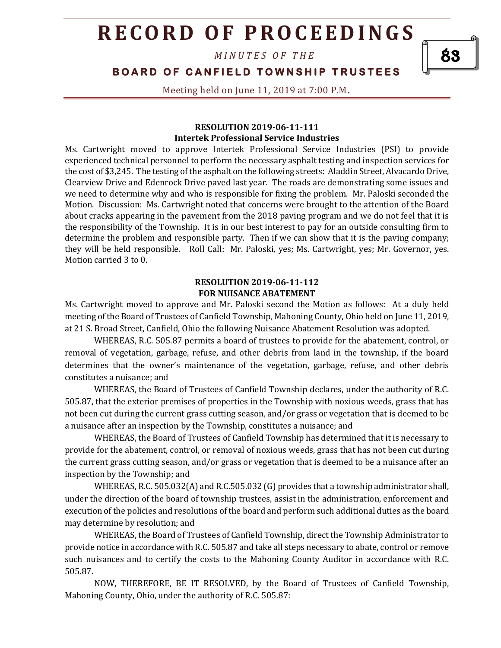*M I N U T E S O F T H E* 

### **BOARD OF CANFIELD TOWNSHIP TRUSTEES**

Meeting held on June 11, 2019 at 7:00 P.M**.**

#### **RESOLUTION 2019-06-11-111 Intertek Professional Service Industries**

Ms. Cartwright moved to approve Intertek Professional Service Industries (PSI) to provide experienced technical personnel to perform the necessary asphalt testing and inspection services for the cost of \$3,245. The testing of the asphalt on the following streets: Aladdin Street, Alvacardo Drive, Clearview Drive and Edenrock Drive paved last year. The roads are demonstrating some issues and we need to determine why and who is responsible for fixing the problem. Mr. Paloski seconded the Motion. Discussion: Ms. Cartwright noted that concerns were brought to the attention of the Board about cracks appearing in the pavement from the 2018 paving program and we do not feel that it is the responsibility of the Township. It is in our best interest to pay for an outside consulting firm to determine the problem and responsible party. Then if we can show that it is the paving company; they will be held responsible. Roll Call: Mr. Paloski, yes; Ms. Cartwright, yes; Mr. Governor, yes. Motion carried 3 to 0.

#### **RESOLUTION 2019-06-11-112 FOR NUISANCE ABATEMENT**

Ms. Cartwright moved to approve and Mr. Paloski second the Motion as follows: At a duly held meeting of the Board of Trustees of Canfield Township, Mahoning County, Ohio held on June 11, 2019, at 21 S. Broad Street, Canfield, Ohio the following Nuisance Abatement Resolution was adopted.

WHEREAS, R.C. 505.87 permits a board of trustees to provide for the abatement, control, or removal of vegetation, garbage, refuse, and other debris from land in the township, if the board determines that the owner's maintenance of the vegetation, garbage, refuse, and other debris constitutes a nuisance; and

WHEREAS, the Board of Trustees of Canfield Township declares, under the authority of R.C. 505.87, that the exterior premises of properties in the Township with noxious weeds, grass that has not been cut during the current grass cutting season, and/or grass or vegetation that is deemed to be a nuisance after an inspection by the Township, constitutes a nuisance; and

WHEREAS, the Board of Trustees of Canfield Township has determined that it is necessary to provide for the abatement, control, or removal of noxious weeds, grass that has not been cut during the current grass cutting season, and/or grass or vegetation that is deemed to be a nuisance after an inspection by the Township; and

WHEREAS, R.C. 505.032(A) and R.C.505.032 (G) provides that a township administrator shall, under the direction of the board of township trustees, assist in the administration, enforcement and execution of the policies and resolutions of the board and perform such additional duties as the board may determine by resolution; and

WHEREAS, the Board of Trustees of Canfield Township, direct the Township Administrator to provide notice in accordance with R.C. 505.87 and take all steps necessary to abate, control or remove such nuisances and to certify the costs to the Mahoning County Auditor in accordance with R.C. 505.87.

NOW, THEREFORE, BE IT RESOLVED, by the Board of Trustees of Canfield Township, Mahoning County, Ohio, under the authority of R.C. 505.87:

83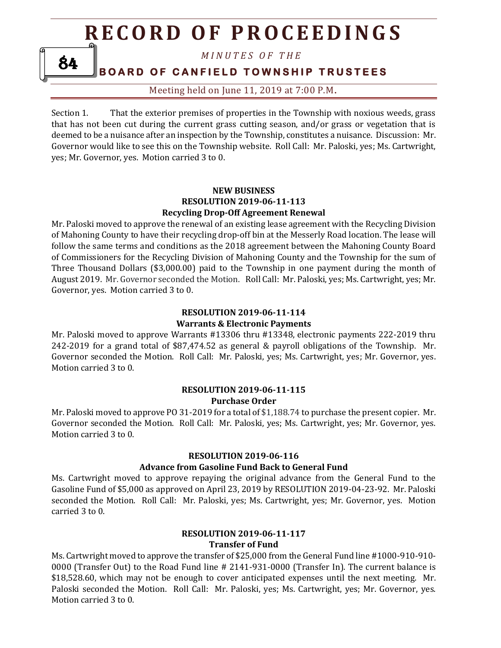*M I N U T E S O F T H E* 

**BOARD OF CANFIELD TOWNSHIP TRUSTEES** 

84

Meeting held on June 11, 2019 at 7:00 P.M**.**

Section 1. That the exterior premises of properties in the Township with noxious weeds, grass that has not been cut during the current grass cutting season, and/or grass or vegetation that is deemed to be a nuisance after an inspection by the Township, constitutes a nuisance. Discussion: Mr. Governor would like to see this on the Township website. Roll Call: Mr. Paloski, yes; Ms. Cartwright, yes; Mr. Governor, yes. Motion carried 3 to 0.

#### **NEW BUSINESS RESOLUTION 2019-06-11-113 Recycling Drop-Off Agreement Renewal**

Mr. Paloski moved to approve the renewal of an existing lease agreement with the Recycling Division of Mahoning County to have their recycling drop-off bin at the Messerly Road location. The lease will follow the same terms and conditions as the 2018 agreement between the Mahoning County Board of Commissioners for the Recycling Division of Mahoning County and the Township for the sum of Three Thousand Dollars (\$3,000.00) paid to the Township in one payment during the month of August 2019. Mr. Governor seconded the Motion. Roll Call: Mr. Paloski, yes; Ms. Cartwright, yes; Mr. Governor, yes. Motion carried 3 to 0.

### **RESOLUTION 2019-06-11-114 Warrants & Electronic Payments**

Mr. Paloski moved to approve Warrants #13306 thru #13348, electronic payments 222-2019 thru 242-2019 for a grand total of \$87,474.52 as general & payroll obligations of the Township. Mr. Governor seconded the Motion. Roll Call: Mr. Paloski, yes; Ms. Cartwright, yes; Mr. Governor, yes. Motion carried 3 to 0.

#### **RESOLUTION 2019-06-11-115 Purchase Order**

Mr. Paloski moved to approve PO 31-2019 for a total of \$1,188.74 to purchase the present copier. Mr. Governor seconded the Motion. Roll Call: Mr. Paloski, yes; Ms. Cartwright, yes; Mr. Governor, yes. Motion carried 3 to 0.

### **RESOLUTION 2019-06-116**

### **Advance from Gasoline Fund Back to General Fund**

Ms. Cartwright moved to approve repaying the original advance from the General Fund to the Gasoline Fund of \$5,000 as approved on April 23, 2019 by RESOLUTION 2019-04-23-92. Mr. Paloski seconded the Motion. Roll Call: Mr. Paloski, yes; Ms. Cartwright, yes; Mr. Governor, yes. Motion carried 3 to 0.

## **RESOLUTION 2019-06-11-117 Transfer of Fund**

Ms. Cartwright moved to approve the transfer of \$25,000 from the General Fund line #1000-910-910-0000 (Transfer Out) to the Road Fund line # 2141-931-0000 (Transfer In). The current balance is \$18,528.60, which may not be enough to cover anticipated expenses until the next meeting. Mr. Paloski seconded the Motion. Roll Call: Mr. Paloski, yes; Ms. Cartwright, yes; Mr. Governor, yes. Motion carried 3 to 0.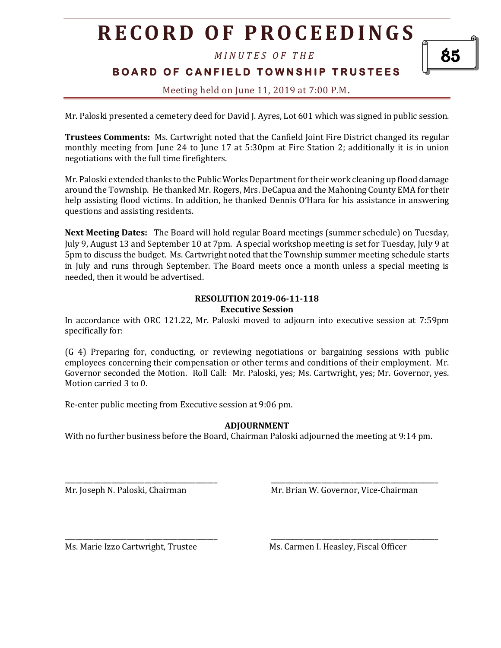*M I N U T E S O F T H E* 

# **BOARD OF CANFIELD TOWNSHIP TRUSTEES**

## Meeting held on June 11, 2019 at 7:00 P.M**.**

Mr. Paloski presented a cemetery deed for David J. Ayres, Lot 601 which was signed in public session.

**Trustees Comments:** Ms. Cartwright noted that the Canfield Joint Fire District changed its regular monthly meeting from June 24 to June 17 at 5:30pm at Fire Station 2; additionally it is in union negotiations with the full time firefighters.

Mr. Paloski extended thanks to the Public Works Department for their work cleaning up flood damage around the Township. He thanked Mr. Rogers, Mrs. DeCapua and the Mahoning County EMA for their help assisting flood victims. In addition, he thanked Dennis O'Hara for his assistance in answering questions and assisting residents.

**Next Meeting Dates:** The Board will hold regular Board meetings (summer schedule) on Tuesday, July 9, August 13 and September 10 at 7pm. A special workshop meeting is set for Tuesday, July 9 at 5pm to discuss the budget. Ms. Cartwright noted that the Township summer meeting schedule starts in July and runs through September. The Board meets once a month unless a special meeting is needed, then it would be advertised.

#### **RESOLUTION 2019-06-11-118 Executive Session**

In accordance with ORC 121.22, Mr. Paloski moved to adjourn into executive session at 7:59pm specifically for:

(G 4) Preparing for, conducting, or reviewing negotiations or bargaining sessions with public employees concerning their compensation or other terms and conditions of their employment. Mr. Governor seconded the Motion. Roll Call: Mr. Paloski, yes; Ms. Cartwright, yes; Mr. Governor, yes. Motion carried 3 to 0.

Re-enter public meeting from Executive session at 9:06 pm.

### **ADJOURNMENT**

With no further business before the Board, Chairman Paloski adjourned the meeting at 9:14 pm.

\_\_\_\_\_\_\_\_\_\_\_\_\_\_\_\_\_\_\_\_\_\_\_\_\_\_\_\_\_\_\_\_\_\_\_\_\_\_\_\_\_\_ \_\_\_\_\_\_\_\_\_\_\_\_\_\_\_\_\_\_\_\_\_\_\_\_\_\_\_\_\_\_\_\_\_\_\_\_\_\_\_\_\_\_\_\_\_\_

\_\_\_\_\_\_\_\_\_\_\_\_\_\_\_\_\_\_\_\_\_\_\_\_\_\_\_\_\_\_\_\_\_\_\_\_\_\_\_\_\_\_ \_\_\_\_\_\_\_\_\_\_\_\_\_\_\_\_\_\_\_\_\_\_\_\_\_\_\_\_\_\_\_\_\_\_\_\_\_\_\_\_\_\_\_\_\_\_

Mr. Joseph N. Paloski, Chairman Mr. Brian W. Governor, Vice-Chairman

Ms. Marie Izzo Cartwright, Trustee Ms. Carmen I. Heasley, Fiscal Officer

85